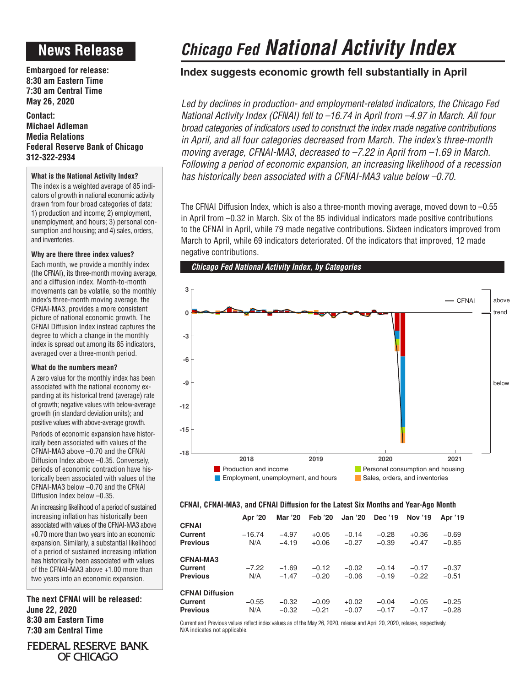### **News Release**

**Embargoed for release: 8:30 am Eastern Time 7:30 am Central Time May 26, 2020**

**Contact: Michael Adleman Media Relations Federal Reserve Bank of Chicago 312-322-2934**

### **What is the National Activity Index?**

The index is a weighted average of 85 indicators of growth in national economic activity drawn from four broad categories of data: 1) production and income; 2) employment, unemployment, and hours; 3) personal consumption and housing; and 4) sales, orders, and inventories.

### **Why are there three index values?**

Each month, we provide a monthly index (the CFNAI), its three-month moving average, and a diffusion index. Month-to-month movements can be volatile, so the monthly index's three-month moving average, the CFNAI-MA3, provides a more consistent picture of national economic growth. The CFNAI Diffusion Index instead captures the degree to which a change in the monthly index is spread out among its 85 indicators, averaged over a three-month period.

### **What do the numbers mean?**

A zero value for the monthly index has been associated with the national economy expanding at its historical trend (average) rate of growth; negative values with below-average growth (in standard deviation units); and positive values with above-average growth.

Periods of economic expansion have historically been associated with values of the CFNAI-MA3 above –0.70 and the CFNAI Diffusion Index above –0.35. Conversely, periods of economic contraction have historically been associated with values of the CFNAI-MA3 below –0.70 and the CFNAI Diffusion Index below –0.35.

An increasing likelihood of a period of sustained increasing inflation has historically been associated with values of the CFNAI-MA3 above +0.70 more than two years into an economic expansion. Similarly, a substantial likelihood of a period of sustained increasing inflation has historically been associated with values of the CFNAI-MA3 above +1.00 more than two years into an economic expansion.

**The next CFNAI will be released: June 22, 2020 8:30 am Eastern Time 7:30 am Central Time**

OF CHICAGO

# FEDERAL RESERVE BANK

## *Chicago Fed National Activity Index*

### **Index suggests economic growth fell substantially in April**

*Led by declines in production- and employment-related indicators, the Chicago Fed National Activity Index (CFNAI) fell to –16.74 in April from –4.97 in March. All four broad categories of indicators used to construct the index made negative contributions in April, and all four categories decreased from March. The index's three-month moving average, CFNAI-MA3, decreased to –7.22 in April from –1.69 in March. Following a period of economic expansion, an increasing likelihood of a recession has historically been associated with a CFNAI-MA3 value below –0.70.* 

The CFNAI Diffusion Index, which is also a three-month moving average, moved down to –0.55 in April from –0.32 in March. Six of the 85 individual indicators made positive contributions to the CFNAI in April, while 79 made negative contributions. Sixteen indicators improved from March to April, while 69 indicators deteriorated. Of the indicators that improved, 12 made negative contributions.



### **CFNAI, CFNAI-MA3, and CFNAI Diffusion for the Latest Six Months and Year-Ago Month**

|                                                      | Apr '20         | Mar '20            | <b>Feb</b> '20     | <b>Jan '20</b>     | Dec '19            | <b>Nov '19</b>     | Apr '19            |
|------------------------------------------------------|-----------------|--------------------|--------------------|--------------------|--------------------|--------------------|--------------------|
| <b>CFNAI</b><br>Current<br><b>Previous</b>           | $-16.74$<br>N/A | $-4.97$<br>$-4.19$ | $+0.05$<br>$+0.06$ | $-0.14$<br>$-0.27$ | $-0.28$<br>$-0.39$ | $+0.36$<br>$+0.47$ | $-0.69$<br>$-0.85$ |
| <b>CFNAI-MA3</b><br>Current<br><b>Previous</b>       | $-7.22$<br>N/A  | $-1.69$<br>$-1.47$ | $-0.12$<br>$-0.20$ | $-0.02$<br>$-0.06$ | $-0.14$<br>$-0.19$ | $-0.17$<br>$-0.22$ | $-0.37$<br>$-0.51$ |
| <b>CFNAI Diffusion</b><br>Current<br><b>Previous</b> | $-0.55$<br>N/A  | $-0.32$<br>$-0.32$ | $-0.09$<br>$-0.21$ | $+0.02$<br>$-0.07$ | $-0.04$<br>$-0.17$ | $-0.05$<br>$-0.17$ | $-0.25$<br>$-0.28$ |

Current and Previous values reflect index values as of the May 26, 2020, release and April 20, 2020, release, respectively. N/A indicates not applicable.